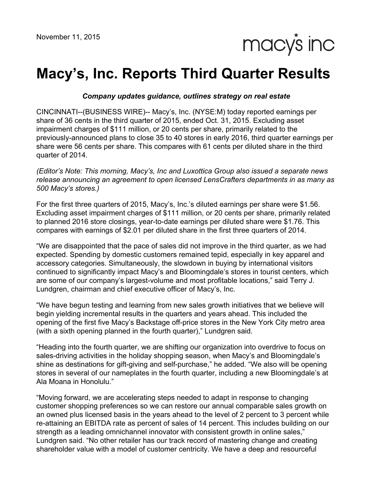

# **Macy's, Inc. Reports Third Quarter Results**

#### *Company updates guidance, outlines strategy on real estate*

CINCINNATI--(BUSINESS WIRE)-- Macy's, Inc. (NYSE:M) today reported earnings per share of 36 cents in the third quarter of 2015, ended Oct. 31, 2015. Excluding asset impairment charges of \$111 million, or 20 cents per share, primarily related to the previously-announced plans to close 35 to 40 stores in early 2016, third quarter earnings per share were 56 cents per share. This compares with 61 cents per diluted share in the third quarter of 2014.

*(Editor's Note: This morning, Macy's, Inc and Luxottica Group also issued a separate news release announcing an agreement to open licensed LensCrafters departments in as many as 500 Macy's stores.)*

For the first three quarters of 2015, Macy's, Inc.'s diluted earnings per share were \$1.56. Excluding asset impairment charges of \$111 million, or 20 cents per share, primarily related to planned 2016 store closings, year-to-date earnings per diluted share were \$1.76. This compares with earnings of \$2.01 per diluted share in the first three quarters of 2014.

"We are disappointed that the pace of sales did not improve in the third quarter, as we had expected. Spending by domestic customers remained tepid, especially in key apparel and accessory categories. Simultaneously, the slowdown in buying by international visitors continued to significantly impact Macy's and Bloomingdale's stores in tourist centers, which are some of our company's largest-volume and most profitable locations," said Terry J. Lundgren, chairman and chief executive officer of Macy's, Inc.

"We have begun testing and learning from new sales growth initiatives that we believe will begin yielding incremental results in the quarters and years ahead. This included the opening of the first five Macy's Backstage off-price stores in the New York City metro area (with a sixth opening planned in the fourth quarter)," Lundgren said.

"Heading into the fourth quarter, we are shifting our organization into overdrive to focus on sales-driving activities in the holiday shopping season, when Macy's and Bloomingdale's shine as destinations for gift-giving and self-purchase," he added. "We also will be opening stores in several of our nameplates in the fourth quarter, including a new Bloomingdale's at Ala Moana in Honolulu."

"Moving forward, we are accelerating steps needed to adapt in response to changing customer shopping preferences so we can restore our annual comparable sales growth on an owned plus licensed basis in the years ahead to the level of 2 percent to 3 percent while re-attaining an EBITDA rate as percent of sales of 14 percent. This includes building on our strength as a leading omnichannel innovator with consistent growth in online sales," Lundgren said. "No other retailer has our track record of mastering change and creating shareholder value with a model of customer centricity. We have a deep and resourceful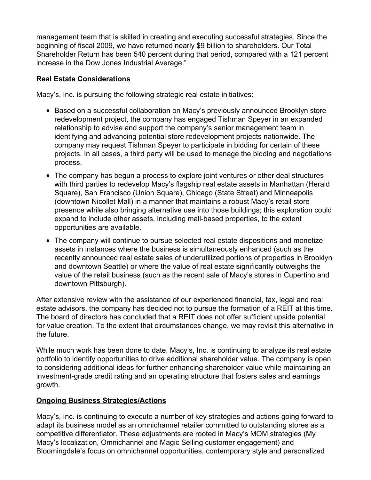management team that is skilled in creating and executing successful strategies. Since the beginning of fiscal 2009, we have returned nearly \$9 billion to shareholders. Our Total Shareholder Return has been 540 percent during that period, compared with a 121 percent increase in the Dow Jones Industrial Average."

## **Real Estate Considerations**

Macy's, Inc. is pursuing the following strategic real estate initiatives:

- Based on a successful collaboration on Macy's previously announced Brooklyn store redevelopment project, the company has engaged Tishman Speyer in an expanded relationship to advise and support the company's senior management team in identifying and advancing potential store redevelopment projects nationwide. The company may request Tishman Speyer to participate in bidding for certain of these projects. In all cases, a third party will be used to manage the bidding and negotiations process.
- The company has begun a process to explore joint ventures or other deal structures with third parties to redevelop Macy's flagship real estate assets in Manhattan (Herald Square), San Francisco (Union Square), Chicago (State Street) and Minneapolis (downtown Nicollet Mall) in a manner that maintains a robust Macy's retail store presence while also bringing alternative use into those buildings; this exploration could expand to include other assets, including mall-based properties, to the extent opportunities are available.
- The company will continue to pursue selected real estate dispositions and monetize assets in instances where the business is simultaneously enhanced (such as the recently announced real estate sales of underutilized portions of properties in Brooklyn and downtown Seattle) or where the value of real estate significantly outweighs the value of the retail business (such as the recent sale of Macy's stores in Cupertino and downtown Pittsburgh).

After extensive review with the assistance of our experienced financial, tax, legal and real estate advisors, the company has decided not to pursue the formation of a REIT at this time. The board of directors has concluded that a REIT does not offer sufficient upside potential for value creation. To the extent that circumstances change, we may revisit this alternative in the future.

While much work has been done to date, Macy's, Inc. is continuing to analyze its real estate portfolio to identify opportunities to drive additional shareholder value. The company is open to considering additional ideas for further enhancing shareholder value while maintaining an investment-grade credit rating and an operating structure that fosters sales and earnings growth.

## **Ongoing Business Strategies/Actions**

Macy's, Inc. is continuing to execute a number of key strategies and actions going forward to adapt its business model as an omnichannel retailer committed to outstanding stores as a competitive differentiator. These adjustments are rooted in Macy's MOM strategies (My Macy's localization, Omnichannel and Magic Selling customer engagement) and Bloomingdale's focus on omnichannel opportunities, contemporary style and personalized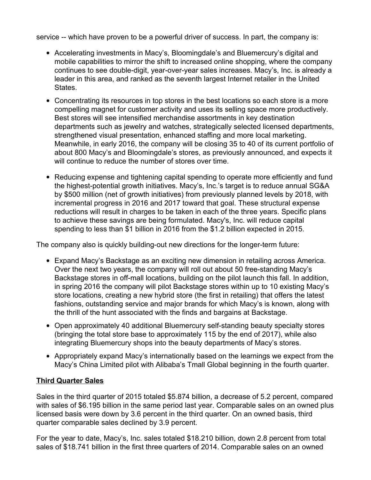service -- which have proven to be a powerful driver of success. In part, the company is:

- Accelerating investments in Macy's, Bloomingdale's and Bluemercury's digital and mobile capabilities to mirror the shift to increased online shopping, where the company continues to see double-digit, year-over-year sales increases. Macy's, Inc. is already a leader in this area, and ranked as the seventh largest Internet retailer in the United States.
- Concentrating its resources in top stores in the best locations so each store is a more compelling magnet for customer activity and uses its selling space more productively. Best stores will see intensified merchandise assortments in key destination departments such as jewelry and watches, strategically selected licensed departments, strengthened visual presentation, enhanced staffing and more local marketing. Meanwhile, in early 2016, the company will be closing 35 to 40 of its current portfolio of about 800 Macy's and Bloomingdale's stores, as previously announced, and expects it will continue to reduce the number of stores over time.
- Reducing expense and tightening capital spending to operate more efficiently and fund the highest-potential growth initiatives. Macy's, Inc.'s target is to reduce annual SG&A by \$500 million (net of growth initiatives) from previously planned levels by 2018, with incremental progress in 2016 and 2017 toward that goal. These structural expense reductions will result in charges to be taken in each of the three years. Specific plans to achieve these savings are being formulated. Macy's, Inc. will reduce capital spending to less than \$1 billion in 2016 from the \$1.2 billion expected in 2015.

The company also is quickly building-out new directions for the longer-term future:

- Expand Macy's Backstage as an exciting new dimension in retailing across America. Over the next two years, the company will roll out about 50 free-standing Macy's Backstage stores in off-mall locations, building on the pilot launch this fall. In addition, in spring 2016 the company will pilot Backstage stores within up to 10 existing Macy's store locations, creating a new hybrid store (the first in retailing) that offers the latest fashions, outstanding service and major brands for which Macy's is known, along with the thrill of the hunt associated with the finds and bargains at Backstage.
- Open approximately 40 additional Bluemercury self-standing beauty specialty stores (bringing the total store base to approximately 115 by the end of 2017), while also integrating Bluemercury shops into the beauty departments of Macy's stores.
- Appropriately expand Macy's internationally based on the learnings we expect from the Macy's China Limited pilot with Alibaba's Tmall Global beginning in the fourth quarter.

# **Third Quarter Sales**

Sales in the third quarter of 2015 totaled \$5.874 billion, a decrease of 5.2 percent, compared with sales of \$6.195 billion in the same period last year. Comparable sales on an owned plus licensed basis were down by 3.6 percent in the third quarter. On an owned basis, third quarter comparable sales declined by 3.9 percent.

For the year to date, Macy's, Inc. sales totaled \$18.210 billion, down 2.8 percent from total sales of \$18.741 billion in the first three quarters of 2014. Comparable sales on an owned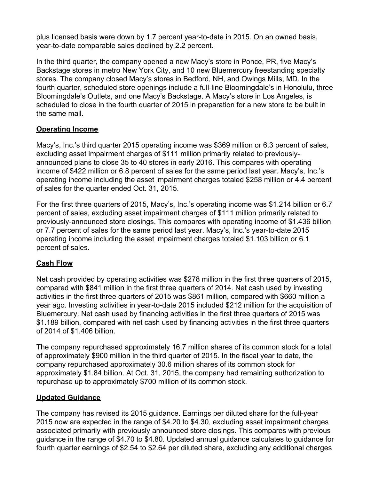plus licensed basis were down by 1.7 percent year-to-date in 2015. On an owned basis, year-to-date comparable sales declined by 2.2 percent.

In the third quarter, the company opened a new Macy's store in Ponce, PR, five Macy's Backstage stores in metro New York City, and 10 new Bluemercury freestanding specialty stores. The company closed Macy's stores in Bedford, NH, and Owings Mills, MD. In the fourth quarter, scheduled store openings include a full-line Bloomingdale's in Honolulu, three Bloomingdale's Outlets, and one Macy's Backstage. A Macy's store in Los Angeles, is scheduled to close in the fourth quarter of 2015 in preparation for a new store to be built in the same mall.

# **Operating Income**

Macy's, Inc.'s third quarter 2015 operating income was \$369 million or 6.3 percent of sales, excluding asset impairment charges of \$111 million primarily related to previouslyannounced plans to close 35 to 40 stores in early 2016. This compares with operating income of \$422 million or 6.8 percent of sales for the same period last year. Macy's, Inc.'s operating income including the asset impairment charges totaled \$258 million or 4.4 percent of sales for the quarter ended Oct. 31, 2015.

For the first three quarters of 2015, Macy's, Inc.'s operating income was \$1.214 billion or 6.7 percent of sales, excluding asset impairment charges of \$111 million primarily related to previously-announced store closings. This compares with operating income of \$1.436 billion or 7.7 percent of sales for the same period last year. Macy's, Inc.'s year-to-date 2015 operating income including the asset impairment charges totaled \$1.103 billion or 6.1 percent of sales.

# **Cash Flow**

Net cash provided by operating activities was \$278 million in the first three quarters of 2015, compared with \$841 million in the first three quarters of 2014. Net cash used by investing activities in the first three quarters of 2015 was \$861 million, compared with \$660 million a year ago. Investing activities in year-to-date 2015 included \$212 million for the acquisition of Bluemercury. Net cash used by financing activities in the first three quarters of 2015 was \$1.189 billion, compared with net cash used by financing activities in the first three quarters of 2014 of \$1.406 billion.

The company repurchased approximately 16.7 million shares of its common stock for a total of approximately \$900 million in the third quarter of 2015. In the fiscal year to date, the company repurchased approximately 30.6 million shares of its common stock for approximately \$1.84 billion. At Oct. 31, 2015, the company had remaining authorization to repurchase up to approximately \$700 million of its common stock.

# **Updated Guidance**

The company has revised its 2015 guidance. Earnings per diluted share for the full-year 2015 now are expected in the range of \$4.20 to \$4.30, excluding asset impairment charges associated primarily with previously announced store closings. This compares with previous guidance in the range of \$4.70 to \$4.80. Updated annual guidance calculates to guidance for fourth quarter earnings of \$2.54 to \$2.64 per diluted share, excluding any additional charges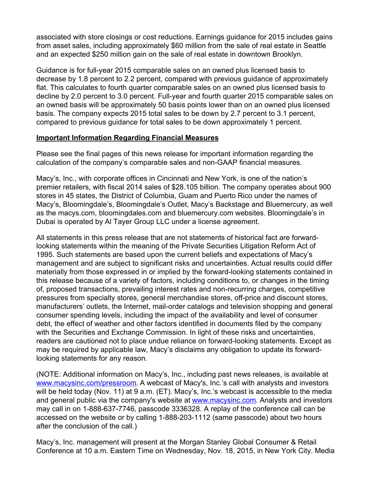associated with store closings or cost reductions. Earnings guidance for 2015 includes gains from asset sales, including approximately \$60 million from the sale of real estate in Seattle and an expected \$250 million gain on the sale of real estate in downtown Brooklyn.

Guidance is for full-year 2015 comparable sales on an owned plus licensed basis to decrease by 1.8 percent to 2.2 percent, compared with previous guidance of approximately flat. This calculates to fourth quarter comparable sales on an owned plus licensed basis to decline by 2.0 percent to 3.0 percent. Full-year and fourth quarter 2015 comparable sales on an owned basis will be approximately 50 basis points lower than on an owned plus licensed basis. The company expects 2015 total sales to be down by 2.7 percent to 3.1 percent, compared to previous guidance for total sales to be down approximately 1 percent.

## **Important Information Regarding Financial Measures**

Please see the final pages of this news release for important information regarding the calculation of the company's comparable sales and non-GAAP financial measures.

Macy's, Inc., with corporate offices in Cincinnati and New York, is one of the nation's premier retailers, with fiscal 2014 sales of \$28.105 billion. The company operates about 900 stores in 45 states, the District of Columbia, Guam and Puerto Rico under the names of Macy's, Bloomingdale's, Bloomingdale's Outlet, Macy's Backstage and Bluemercury, as well as the macys.com, bloomingdales.com and bluemercury.com websites. Bloomingdale's in Dubai is operated by Al Tayer Group LLC under a license agreement.

All statements in this press release that are not statements of historical fact are forwardlooking statements within the meaning of the Private Securities Litigation Reform Act of 1995. Such statements are based upon the current beliefs and expectations of Macy's management and are subject to significant risks and uncertainties. Actual results could differ materially from those expressed in or implied by the forward-looking statements contained in this release because of a variety of factors, including conditions to, or changes in the timing of, proposed transactions, prevailing interest rates and non-recurring charges, competitive pressures from specialty stores, general merchandise stores, off-price and discount stores, manufacturers' outlets, the Internet, mail-order catalogs and television shopping and general consumer spending levels, including the impact of the availability and level of consumer debt, the effect of weather and other factors identified in documents filed by the company with the Securities and Exchange Commission. In light of these risks and uncertainties, readers are cautioned not to place undue reliance on forward-looking statements. Except as may be required by applicable law, Macy's disclaims any obligation to update its forwardlooking statements for any reason.

(NOTE: Additional information on Macy's, Inc., including past news releases, is available at [www.macysinc.com/pressroom](http://www.macysinc.com/pressroom). A webcast of Macy's, Inc.'s call with analysts and investors will be held today (Nov. 11) at 9 a.m. (ET). Macy's, Inc.'s webcast is accessible to the media and general public via the company's website at [www.macysinc.com](http://www.macysinc.com). Analysts and investors may call in on 1-888-637-7746, passcode 3336328. A replay of the conference call can be accessed on the website or by calling 1-888-203-1112 (same passcode) about two hours after the conclusion of the call.)

Macy's, Inc. management will present at the Morgan Stanley Global Consumer & Retail Conference at 10 a.m. Eastern Time on Wednesday, Nov. 18, 2015, in New York City. Media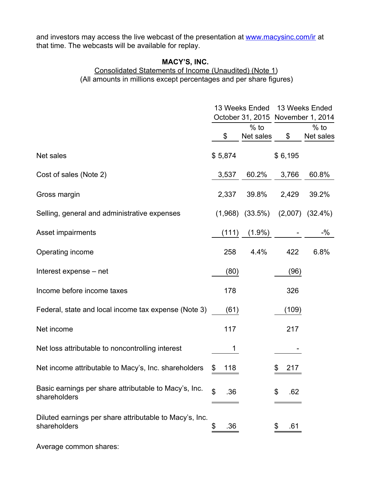and investors may access the live webcast of the presentation at [www.macysinc.com/ir](http://www.macysinc.com/ir) at that time. The webcasts will be available for replay.

## **MACY'S, INC.**

## Consolidated Statements of Income (Unaudited) (Note 1) (All amounts in millions except percentages and per share figures)

|                                                                         | 13 Weeks Ended                    |                      | 13 Weeks Ended |                      |  |
|-------------------------------------------------------------------------|-----------------------------------|----------------------|----------------|----------------------|--|
|                                                                         | October 31, 2015 November 1, 2014 |                      |                |                      |  |
|                                                                         | \$                                | $%$ to<br>Net sales  | \$             | $%$ to               |  |
|                                                                         |                                   |                      |                | Net sales            |  |
| Net sales                                                               | \$5,874                           |                      | \$6,195        |                      |  |
| Cost of sales (Note 2)                                                  | 3,537                             | 60.2%                | 3,766          | 60.8%                |  |
| Gross margin                                                            | 2,337                             | 39.8%                | 2,429          | 39.2%                |  |
| Selling, general and administrative expenses                            |                                   | $(1,968)$ $(33.5\%)$ |                | $(2,007)$ $(32.4\%)$ |  |
| Asset impairments                                                       | (111)                             | $(1.9\%)$            |                | $-$ %                |  |
| Operating income                                                        | 258                               | 4.4%                 | 422            | 6.8%                 |  |
| Interest expense - net                                                  | (80)                              |                      | (96)           |                      |  |
| Income before income taxes                                              | 178                               |                      | 326            |                      |  |
| Federal, state and local income tax expense (Note 3)                    | (61)                              |                      | (109)          |                      |  |
| Net income                                                              | 117                               |                      | 217            |                      |  |
| Net loss attributable to noncontrolling interest                        | 1                                 |                      |                |                      |  |
| Net income attributable to Macy's, Inc. shareholders                    | 118<br>\$                         |                      | 217            |                      |  |
| Basic earnings per share attributable to Macy's, Inc.<br>shareholders   | \$<br>.36                         |                      | \$<br>.62      |                      |  |
| Diluted earnings per share attributable to Macy's, Inc.<br>shareholders | .36<br>\$                         |                      | .61            |                      |  |

Average common shares: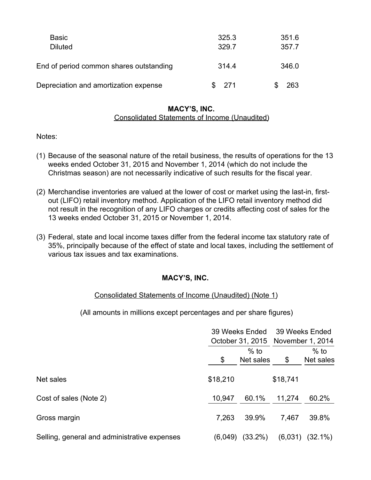| <b>Basic</b><br><b>Diluted</b>          | 325.3<br>329.7 | 351.6<br>357.7 |
|-----------------------------------------|----------------|----------------|
| End of period common shares outstanding | 314.4          | 346.0          |
| Depreciation and amortization expense   | \$271          | 263            |

#### **MACY'S, INC.** Consolidated Statements of Income (Unaudited)

Notes:

- (1) Because of the seasonal nature of the retail business, the results of operations for the 13 weeks ended October 31, 2015 and November 1, 2014 (which do not include the Christmas season) are not necessarily indicative of such results for the fiscal year.
- (2) Merchandise inventories are valued at the lower of cost or market using the last-in, firstout (LIFO) retail inventory method. Application of the LIFO retail inventory method did not result in the recognition of any LIFO charges or credits affecting cost of sales for the 13 weeks ended October 31, 2015 or November 1, 2014.
- (3) Federal, state and local income taxes differ from the federal income tax statutory rate of 35%, principally because of the effect of state and local taxes, including the settlement of various tax issues and tax examinations.

# **MACY'S, INC.**

# Consolidated Statements of Income (Unaudited) (Note 1)

(All amounts in millions except percentages and per share figures)

|                                              |          | 39 Weeks Ended | 39 Weeks Ended                    |            |  |
|----------------------------------------------|----------|----------------|-----------------------------------|------------|--|
|                                              |          |                | October 31, 2015 November 1, 2014 |            |  |
|                                              |          | $%$ to         |                                   | $%$ to     |  |
|                                              | \$       | Net sales      | \$                                | Net sales  |  |
| Net sales                                    | \$18,210 |                | \$18,741                          |            |  |
| Cost of sales (Note 2)                       | 10,947   | 60.1%          | 11,274                            | 60.2%      |  |
| Gross margin                                 | 7,263    | 39.9%          | 7,467                             | 39.8%      |  |
| Selling, general and administrative expenses | (6,049)  | $(33.2\%)$     | (6,031)                           | $(32.1\%)$ |  |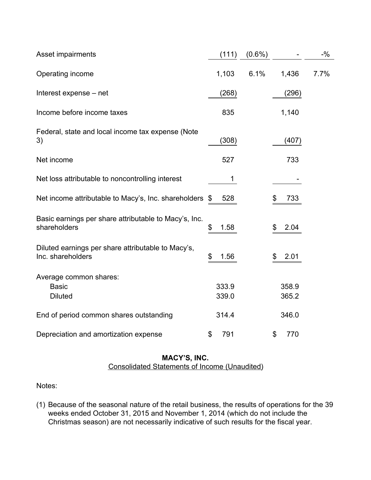| Asset impairments                                                       | (111)          | $(0.6\%)$ |                | $-$ % |
|-------------------------------------------------------------------------|----------------|-----------|----------------|-------|
| Operating income                                                        | 1,103          | 6.1%      | 1,436          | 7.7%  |
| Interest expense - net                                                  | (268)          |           | (296)          |       |
| Income before income taxes                                              | 835            |           | 1,140          |       |
| Federal, state and local income tax expense (Note<br>3)                 | (308)          |           | (407)          |       |
| Net income                                                              | 527            |           | 733            |       |
| Net loss attributable to noncontrolling interest                        | 1              |           |                |       |
| Net income attributable to Macy's, Inc. shareholders                    | 528<br>\$      |           | \$<br>733      |       |
| Basic earnings per share attributable to Macy's, Inc.<br>shareholders   | \$<br>1.58     |           | 2.04<br>\$     |       |
| Diluted earnings per share attributable to Macy's,<br>Inc. shareholders | 1.56<br>\$     |           | 2.01<br>\$     |       |
| Average common shares:<br><b>Basic</b><br><b>Diluted</b>                | 333.9<br>339.0 |           | 358.9<br>365.2 |       |
| End of period common shares outstanding                                 | 314.4          |           | 346.0          |       |
| Depreciation and amortization expense                                   | \$<br>791      |           | \$<br>770      |       |

# **MACY'S, INC.** Consolidated Statements of Income (Unaudited)

Notes:

(1) Because of the seasonal nature of the retail business, the results of operations for the 39 weeks ended October 31, 2015 and November 1, 2014 (which do not include the Christmas season) are not necessarily indicative of such results for the fiscal year.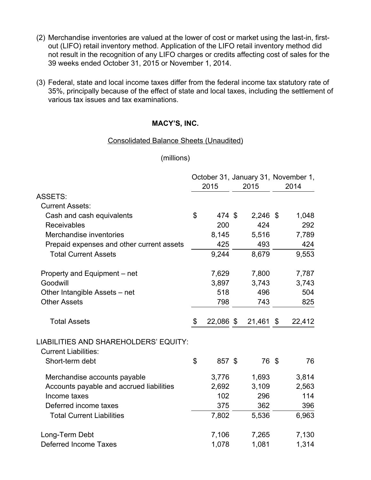- (2) Merchandise inventories are valued at the lower of cost or market using the last-in, firstout (LIFO) retail inventory method. Application of the LIFO retail inventory method did not result in the recognition of any LIFO charges or credits affecting cost of sales for the 39 weeks ended October 31, 2015 or November 1, 2014.
- (3) Federal, state and local income taxes differ from the federal income tax statutory rate of 35%, principally because of the effect of state and local taxes, including the settlement of various tax issues and tax examinations.

#### **MACY'S, INC.**

#### Consolidated Balance Sheets (Unaudited)

#### (millions)

|                                                                      |                 |            | October 31, January 31, November 1, |
|----------------------------------------------------------------------|-----------------|------------|-------------------------------------|
|                                                                      | 2015            | 2015       | 2014                                |
| <b>ASSETS:</b>                                                       |                 |            |                                     |
| <b>Current Assets:</b>                                               |                 |            |                                     |
| Cash and cash equivalents                                            | \$<br>474 \$    | $2,246$ \$ | 1,048                               |
| Receivables                                                          | 200             | 424        | 292                                 |
| Merchandise inventories                                              | 8,145           | 5,516      | 7,789                               |
| Prepaid expenses and other current assets                            | 425             | 493        | 424                                 |
| <b>Total Current Assets</b>                                          | 9,244           | 8,679      | 9,553                               |
| Property and Equipment – net                                         | 7,629           | 7,800      | 7,787                               |
| Goodwill                                                             | 3,897           | 3,743      | 3,743                               |
| Other Intangible Assets – net                                        | 518             | 496        | 504                                 |
| <b>Other Assets</b>                                                  | 798             | 743        | 825                                 |
| <b>Total Assets</b>                                                  | \$<br>22,086 \$ | 21,461 \$  | 22,412                              |
| LIABILITIES AND SHAREHOLDERS' EQUITY:<br><b>Current Liabilities:</b> |                 |            |                                     |
| Short-term debt                                                      | \$<br>857 \$    | 76 \$      | 76                                  |
| Merchandise accounts payable                                         | 3,776           | 1,693      | 3,814                               |
| Accounts payable and accrued liabilities                             | 2,692           | 3,109      | 2,563                               |
| Income taxes                                                         | 102             | 296        | 114                                 |
| Deferred income taxes                                                | 375             | 362        | 396                                 |
| <b>Total Current Liabilities</b>                                     | 7,802           | 5,536      | 6,963                               |
| Long-Term Debt                                                       | 7,106           | 7,265      | 7,130                               |
| <b>Deferred Income Taxes</b>                                         | 1,078           | 1,081      | 1,314                               |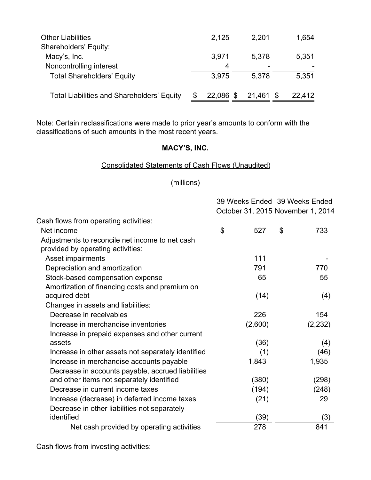| <b>Other Liabilities</b>                          |   | 2,125     | 2,201     | 1,654  |
|---------------------------------------------------|---|-----------|-----------|--------|
| Shareholders' Equity:                             |   |           |           |        |
| Macy's, Inc.                                      |   | 3,971     | 5,378     | 5,351  |
| Noncontrolling interest                           |   | 4         |           |        |
| <b>Total Shareholders' Equity</b>                 |   | 3,975     | 5,378     | 5,351  |
| <b>Total Liabilities and Shareholders' Equity</b> | S | 22,086 \$ | 21,461 \$ | 22,412 |

Note: Certain reclassifications were made to prior year's amounts to conform with the classifications of such amounts in the most recent years.

#### **MACY'S, INC.**

# Consolidated Statements of Cash Flows (Unaudited)

## (millions)

|                                                                                      |           | 39 Weeks Ended 39 Weeks Ended     |
|--------------------------------------------------------------------------------------|-----------|-----------------------------------|
|                                                                                      |           | October 31, 2015 November 1, 2014 |
| Cash flows from operating activities:                                                |           |                                   |
| Net income                                                                           | \$<br>527 | \$<br>733                         |
| Adjustments to reconcile net income to net cash<br>provided by operating activities: |           |                                   |
| Asset impairments                                                                    | 111       |                                   |
| Depreciation and amortization                                                        | 791       | 770                               |
| Stock-based compensation expense                                                     | 65        | 55                                |
| Amortization of financing costs and premium on<br>acquired debt                      | (14)      | (4)                               |
| Changes in assets and liabilities:                                                   |           |                                   |
| Decrease in receivables                                                              | 226       | 154                               |
| Increase in merchandise inventories                                                  | (2,600)   | (2, 232)                          |
| Increase in prepaid expenses and other current                                       |           |                                   |
| assets                                                                               | (36)      | (4)                               |
| Increase in other assets not separately identified                                   | (1)       | (46)                              |
| Increase in merchandise accounts payable                                             | 1,843     | 1,935                             |
| Decrease in accounts payable, accrued liabilities                                    |           |                                   |
| and other items not separately identified                                            | (380)     | (298)                             |
| Decrease in current income taxes                                                     | (194)     | (248)                             |
| Increase (decrease) in deferred income taxes                                         | (21)      | 29                                |
| Decrease in other liabilities not separately                                         |           |                                   |
| identified                                                                           | (39)      | (3)                               |
| Net cash provided by operating activities                                            | 278       | 841                               |

Cash flows from investing activities: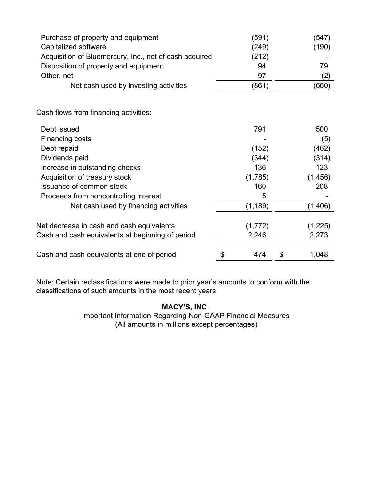| Purchase of property and equipment                     | (591)     | (547)       |
|--------------------------------------------------------|-----------|-------------|
| Capitalized software                                   | (249)     | (190)       |
| Acquisition of Bluemercury, Inc., net of cash acquired | (212)     |             |
| Disposition of property and equipment                  | 94        | 79          |
| Other, net                                             | 97        | (2)         |
| Net cash used by investing activities                  | (861)     | (660)       |
| Cash flows from financing activities:                  |           |             |
|                                                        |           |             |
| Debt issued                                            | 791       | 500         |
| Financing costs                                        |           | (5)         |
| Debt repaid                                            | (152)     | (462)       |
| Dividends paid                                         | (344)     | (314)       |
| Increase in outstanding checks                         | 136       | 123         |
| Acquisition of treasury stock                          | (1,785)   | (1, 456)    |
| Issuance of common stock                               | 160       | 208         |
| Proceeds from noncontrolling interest                  | 5         |             |
| Net cash used by financing activities                  | (1, 189)  | (1, 406)    |
| Net decrease in cash and cash equivalents              | (1, 772)  | (1,225)     |
| Cash and cash equivalents at beginning of period       | 2,246     | 2,273       |
| Cash and cash equivalents at end of period             | 474<br>\$ | 1,048<br>\$ |

Note: Certain reclassifications were made to prior year's amounts to conform with the classifications of such amounts in the most recent years.

# **MACY'S, INC**.

Important Information Regarding Non-GAAP Financial Measures (All amounts in millions except percentages)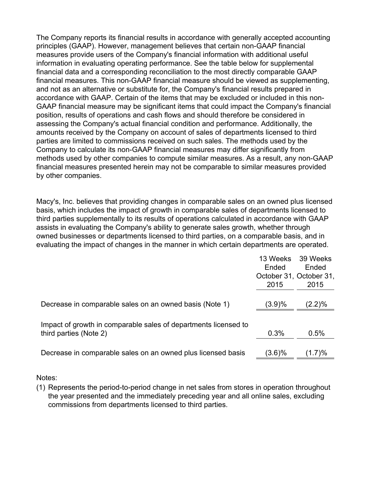The Company reports its financial results in accordance with generally accepted accounting principles (GAAP). However, management believes that certain non-GAAP financial measures provide users of the Company's financial information with additional useful information in evaluating operating performance. See the table below for supplemental financial data and a corresponding reconciliation to the most directly comparable GAAP financial measures. This non-GAAP financial measure should be viewed as supplementing, and not as an alternative or substitute for, the Company's financial results prepared in accordance with GAAP. Certain of the items that may be excluded or included in this non-GAAP financial measure may be significant items that could impact the Company's financial position, results of operations and cash flows and should therefore be considered in assessing the Company's actual financial condition and performance. Additionally, the amounts received by the Company on account of sales of departments licensed to third parties are limited to commissions received on such sales. The methods used by the Company to calculate its non-GAAP financial measures may differ significantly from methods used by other companies to compute similar measures. As a result, any non-GAAP financial measures presented herein may not be comparable to similar measures provided by other companies.

Macy's, Inc. believes that providing changes in comparable sales on an owned plus licensed basis, which includes the impact of growth in comparable sales of departments licensed to third parties supplementally to its results of operations calculated in accordance with GAAP assists in evaluating the Company's ability to generate sales growth, whether through owned businesses or departments licensed to third parties, on a comparable basis, and in evaluating the impact of changes in the manner in which certain departments are operated.

|                                                                 | 13 Weeks<br>Ended | 39 Weeks<br>Ended       |
|-----------------------------------------------------------------|-------------------|-------------------------|
|                                                                 |                   | October 31, October 31, |
|                                                                 | 2015              | 2015                    |
| Decrease in comparable sales on an owned basis (Note 1)         | $(3.9)\%$         | (2.2)%                  |
| Impact of growth in comparable sales of departments licensed to |                   |                         |
| third parties (Note 2)                                          | 0.3%              | 0.5%                    |
|                                                                 |                   |                         |
| Decrease in comparable sales on an owned plus licensed basis    | $(3.6)\%$         | $(1.7) \%$              |

Notes:

(1) Represents the period-to-period change in net sales from stores in operation throughout the year presented and the immediately preceding year and all online sales, excluding commissions from departments licensed to third parties.